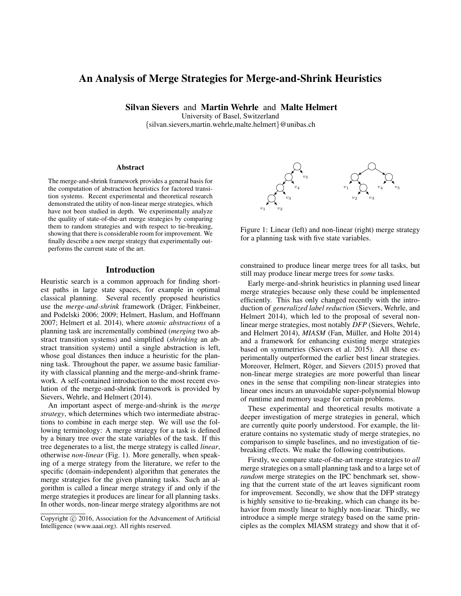# An Analysis of Merge Strategies for Merge-and-Shrink Heuristics

Silvan Sievers and Martin Wehrle and Malte Helmert

University of Basel, Switzerland {silvan.sievers,martin.wehrle,malte.helmert}@unibas.ch

#### Abstract

The merge-and-shrink framework provides a general basis for the computation of abstraction heuristics for factored transition systems. Recent experimental and theoretical research demonstrated the utility of non-linear merge strategies, which have not been studied in depth. We experimentally analyze the quality of state-of-the-art merge strategies by comparing them to random strategies and with respect to tie-breaking, showing that there is considerable room for improvement. We finally describe a new merge strategy that experimentally outperforms the current state of the art.

## Introduction

Heuristic search is a common approach for finding shortest paths in large state spaces, for example in optimal classical planning. Several recently proposed heuristics use the *merge-and-shrink* framework (Dräger, Finkbeiner, and Podelski 2006; 2009; Helmert, Haslum, and Hoffmann 2007; Helmert et al. 2014), where *atomic abstractions* of a planning task are incrementally combined (*merging* two abstract transition systems) and simplified (*shrinking* an abstract transition system) until a single abstraction is left, whose goal distances then induce a heuristic for the planning task. Throughout the paper, we assume basic familiarity with classical planning and the merge-and-shrink framework. A self-contained introduction to the most recent evolution of the merge-and-shrink framework is provided by Sievers, Wehrle, and Helmert (2014).

An important aspect of merge-and-shrink is the *merge strategy*, which determines which two intermediate abstractions to combine in each merge step. We will use the following terminology: A merge strategy for a task is defined by a binary tree over the state variables of the task. If this tree degenerates to a list, the merge strategy is called *linear*, otherwise *non-linear* (Fig. 1). More generally, when speaking of a merge strategy from the literature, we refer to the specific (domain-independent) algorithm that generates the merge strategies for the given planning tasks. Such an algorithm is called a linear merge strategy if and only if the merge strategies it produces are linear for all planning tasks. In other words, non-linear merge strategy algorithms are not



Figure 1: Linear (left) and non-linear (right) merge strategy for a planning task with five state variables.

constrained to produce linear merge trees for all tasks, but still may produce linear merge trees for *some* tasks.

Early merge-and-shrink heuristics in planning used linear merge strategies because only these could be implemented efficiently. This has only changed recently with the introduction of *generalized label reduction* (Sievers, Wehrle, and Helmert 2014), which led to the proposal of several nonlinear merge strategies, most notably *DFP* (Sievers, Wehrle, and Helmert 2014), *MIASM* (Fan, Müller, and Holte 2014) and a framework for enhancing existing merge strategies based on symmetries (Sievers et al. 2015). All these experimentally outperformed the earlier best linear strategies. Moreover, Helmert, Röger, and Sievers (2015) proved that non-linear merge strategies are more powerful than linear ones in the sense that compiling non-linear strategies into linear ones incurs an unavoidable super-polynomial blowup of runtime and memory usage for certain problems.

These experimental and theoretical results motivate a deeper investigation of merge strategies in general, which are currently quite poorly understood. For example, the literature contains no systematic study of merge strategies, no comparison to simple baselines, and no investigation of tiebreaking effects. We make the following contributions.

Firstly, we compare state-of-the-art merge strategies to *all* merge strategies on a small planning task and to a large set of *random* merge strategies on the IPC benchmark set, showing that the current state of the art leaves significant room for improvement. Secondly, we show that the DFP strategy is highly sensitive to tie-breaking, which can change its behavior from mostly linear to highly non-linear. Thirdly, we introduce a simple merge strategy based on the same principles as the complex MIASM strategy and show that it of-

Copyright  $\odot$  2016, Association for the Advancement of Artificial Intelligence (www.aaai.org). All rights reserved.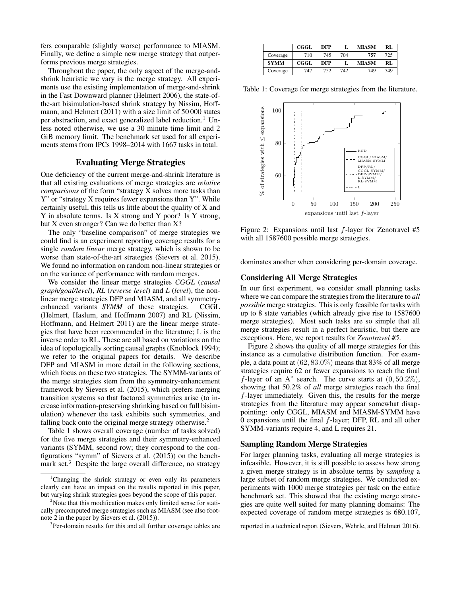fers comparable (slightly worse) performance to MIASM. Finally, we define a simple new merge strategy that outperforms previous merge strategies.

Throughout the paper, the only aspect of the merge-andshrink heuristic we vary is the merge strategy. All experiments use the existing implementation of merge-and-shrink in the Fast Downward planner (Helmert 2006), the state-ofthe-art bisimulation-based shrink strategy by Nissim, Hoffmann, and Helmert (2011) with a size limit of 50 000 states per abstraction, and exact generalized label reduction.<sup>1</sup> Unless noted otherwise, we use a 30 minute time limit and 2 GiB memory limit. The benchmark set used for all experiments stems from IPCs 1998–2014 with 1667 tasks in total.

## Evaluating Merge Strategies

One deficiency of the current merge-and-shrink literature is that all existing evaluations of merge strategies are *relative comparisons* of the form "strategy X solves more tasks than Y" or "strategy X requires fewer expansions than Y". While certainly useful, this tells us little about the quality of X and Y in absolute terms. Is X strong and Y poor? Is Y strong, but X even stronger? Can we do better than X?

The only "baseline comparison" of merge strategies we could find is an experiment reporting coverage results for a single *random linear* merge strategy, which is shown to be worse than state-of-the-art strategies (Sievers et al. 2015). We found no information on random non-linear strategies or on the variance of performance with random merges.

We consider the linear merge strategies *CGGL* (*causal graph/goal/level*), *RL* (*reverse level*) and *L* (*level*), the nonlinear merge strategies DFP and MIASM, and all symmetryenhanced variants *SYMM* of these strategies. CGGL (Helmert, Haslum, and Hoffmann 2007) and RL (Nissim, Hoffmann, and Helmert 2011) are the linear merge strategies that have been recommended in the literature; L is the inverse order to RL. These are all based on variations on the idea of topologically sorting causal graphs (Knoblock 1994); we refer to the original papers for details. We describe DFP and MIASM in more detail in the following sections, which focus on these two strategies. The SYMM-variants of the merge strategies stem from the symmetry-enhancement framework by Sievers et al. (2015), which prefers merging transition systems so that factored symmetries arise (to increase information-preserving shrinking based on full bisimulation) whenever the task exhibits such symmetries, and falling back onto the original merge strategy otherwise.<sup>2</sup>

Table 1 shows overall coverage (number of tasks solved) for the five merge strategies and their symmetry-enhanced variants (SYMM, second row; they correspond to the configurations "symm" of Sievers et al. (2015)) on the benchmark set.<sup>3</sup> Despite the large overall difference, no strategy

|             | CGGL | DFP |     | MIASM | RL  |
|-------------|------|-----|-----|-------|-----|
| Coverage    | 710  | 745 | 704 | 757   | 725 |
| <b>SYMM</b> | CGGL | DFP |     | MIASM | RL  |
| Coverage    | 747  | 752 | 742 | 749   | 749 |

Table 1: Coverage for merge strategies from the literature.



Figure 2: Expansions until last  $f$ -layer for Zenotravel #5 with all 1587600 possible merge strategies.

dominates another when considering per-domain coverage.

## Considering All Merge Strategies

In our first experiment, we consider small planning tasks where we can compare the strategies from the literature to *all possible* merge strategies. This is only feasible for tasks with up to 8 state variables (which already give rise to 1587600 merge strategies). Most such tasks are so simple that all merge strategies result in a perfect heuristic, but there are exceptions. Here, we report results for *Zenotravel #5*.

Figure 2 shows the quality of all merge strategies for this instance as a cumulative distribution function. For example, a data point at  $(62, 83.0\%)$  means that 83% of all merge strategies require 62 or fewer expansions to reach the final f-layer of an  $A^*$  search. The curve starts at  $(0, 50.2\%),$ showing that 50.2% of *all* merge strategies reach the final f-layer immediately. Given this, the results for the merge strategies from the literature may appear somewhat disappointing: only CGGL, MIASM and MIASM-SYMM have 0 expansions until the final  $f$ -layer; DFP, RL and all other SYMM-variants require 4, and L requires 21.

## Sampling Random Merge Strategies

For larger planning tasks, evaluating all merge strategies is infeasible. However, it is still possible to assess how strong a given merge strategy is in absolute terms by *sampling* a large subset of random merge strategies. We conducted experiments with 1000 merge strategies per task on the entire benchmark set. This showed that the existing merge strategies are quite well suited for many planning domains: The expected coverage of random merge strategies is 680.107,

<sup>&</sup>lt;sup>1</sup>Changing the shrink strategy or even only its parameters clearly can have an impact on the results reported in this paper, but varying shrink strategies goes beyond the scope of this paper.

<sup>&</sup>lt;sup>2</sup>Note that this modification makes only limited sense for statically precomputed merge strategies such as MIASM (see also footnote 2 in the paper by Sievers et al. (2015)).

<sup>&</sup>lt;sup>3</sup>Per-domain results for this and all further coverage tables are

reported in a technical report (Sievers, Wehrle, and Helmert 2016).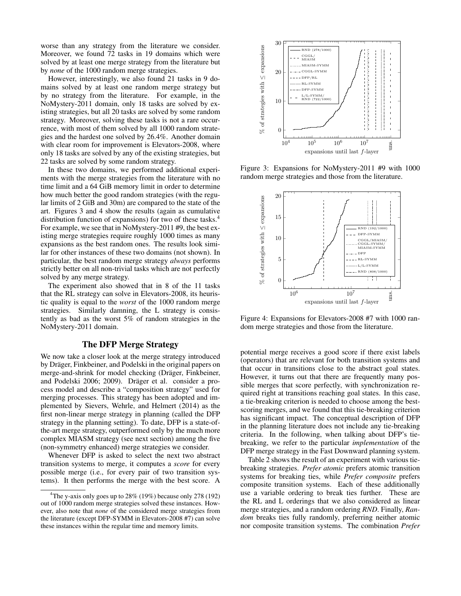worse than any strategy from the literature we consider. Moreover, we found 72 tasks in 19 domains which were solved by at least one merge strategy from the literature but by *none* of the 1000 random merge strategies.

However, interestingly, we also found 21 tasks in 9 domains solved by at least one random merge strategy but by no strategy from the literature. For example, in the NoMystery-2011 domain, only 18 tasks are solved by existing strategies, but all 20 tasks are solved by some random strategy. Moreover, solving these tasks is not a rare occurrence, with most of them solved by all 1000 random strategies and the hardest one solved by 26.4%. Another domain with clear room for improvement is Elevators-2008, where only 18 tasks are solved by any of the existing strategies, but 22 tasks are solved by some random strategy.

In these two domains, we performed additional experiments with the merge strategies from the literature with no time limit and a 64 GiB memory limit in order to determine how much better the good random strategies (with the regular limits of 2 GiB and 30m) are compared to the state of the art. Figures 3 and 4 show the results (again as cumulative distribution function of expansions) for two of these tasks.<sup>4</sup> For example, we see that in NoMystery-2011 #9, the best existing merge strategies require roughly 1000 times as many expansions as the best random ones. The results look similar for other instances of these two domains (not shown). In particular, the best random merge strategy *always* performs strictly better on all non-trivial tasks which are not perfectly solved by any merge strategy.

The experiment also showed that in 8 of the 11 tasks that the RL strategy can solve in Elevators-2008, its heuristic quality is equal to the *worst* of the 1000 random merge strategies. Similarly damning, the L strategy is consistently as bad as the worst 5% of random strategies in the NoMystery-2011 domain.

## The DFP Merge Strategy

We now take a closer look at the merge strategy introduced by Dräger, Finkbeiner, and Podelski in the original papers on merge-and-shrink for model checking (Dräger, Finkbeiner, and Podelski 2006; 2009). Dräger et al. consider a process model and describe a "composition strategy" used for merging processes. This strategy has been adopted and implemented by Sievers, Wehrle, and Helmert (2014) as the first non-linear merge strategy in planning (called the DFP strategy in the planning setting). To date, DFP is a state-ofthe-art merge strategy, outperformed only by the much more complex MIASM strategy (see next section) among the five (non-symmetry enhanced) merge strategies we consider.

Whenever DFP is asked to select the next two abstract transition systems to merge, it computes a *score* for every possible merge (i.e., for every pair of two transition systems). It then performs the merge with the best score. A



Figure 3: Expansions for NoMystery-2011 #9 with 1000 random merge strategies and those from the literature.



Figure 4: Expansions for Elevators-2008 #7 with 1000 random merge strategies and those from the literature.

potential merge receives a good score if there exist labels (operators) that are relevant for both transition systems and that occur in transitions close to the abstract goal states. However, it turns out that there are frequently many possible merges that score perfectly, with synchronization required right at transitions reaching goal states. In this case, a tie-breaking criterion is needed to choose among the bestscoring merges, and we found that this tie-breaking criterion has significant impact. The conceptual description of DFP in the planning literature does not include any tie-breaking criteria. In the following, when talking about DFP's tiebreaking, we refer to the particular *implementation* of the DFP merge strategy in the Fast Downward planning system.

Table 2 shows the result of an experiment with various tiebreaking strategies. *Prefer atomic* prefers atomic transition systems for breaking ties, while *Prefer composite* prefers composite transition systems. Each of these additionally use a variable ordering to break ties further. These are the RL and L orderings that we also considered as linear merge strategies, and a random ordering *RND*. Finally, *Random* breaks ties fully randomly, preferring neither atomic nor composite transition systems. The combination *Prefer*

<sup>&</sup>lt;sup>4</sup>The y-axis only goes up to  $28\%$  (19%) because only 278 (192) out of 1000 random merge strategies solved these instances. However, also note that *none* of the considered merge strategies from the literature (except DFP-SYMM in Elevators-2008 #7) can solve these instances within the regular time and memory limits.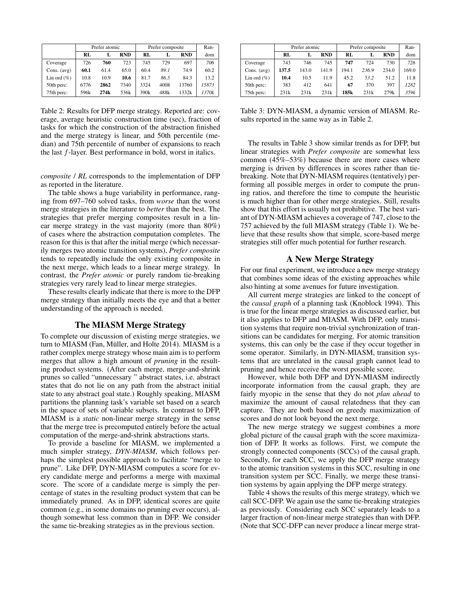|                 | Prefer atomic |      |            | Prefer composite |      |            | Ran-  |
|-----------------|---------------|------|------------|------------------|------|------------|-------|
|                 | RL            | L    | <b>RND</b> | RL               |      | <b>RND</b> | dom   |
| Coverage        | 726           | 760  | 723        | 745              | 729  | 697        | 706   |
| Cons. $(avg)$   | 60.1          | 61.4 | 65.0       | 60.4             | 89.1 | 74.9       | 60.2  |
| Lin ord $(\% )$ | 10.8          | 10.9 | 10.6       | 81.7             | 86.5 | 84.3       | 13.2  |
| 50th perc:      | 6776          | 2862 | 7340       | 3324             | 4008 | 13760      | 15873 |
| 75th perc:      | 596k          | 274k | 536k       | 390 <sub>k</sub> | 488k | 1332k      | 1370k |

Table 2: Results for DFP merge strategy. Reported are: coverage, average heuristic construction time (sec), fraction of tasks for which the construction of the abstraction finished and the merge strategy is linear, and 50th percentile (median) and 75th percentile of number of expansions to reach the last f-layer. Best performance in bold, worst in italics.

*composite* / *RL* corresponds to the implementation of DFP as reported in the literature.

The table shows a huge variability in performance, ranging from 697–760 solved tasks, from *worse* than the worst merge strategies in the literature to *better* than the best. The strategies that prefer merging composites result in a linear merge strategy in the vast majority (more than 80%) of cases where the abstraction computation completes. The reason for this is that after the initial merge (which necessarily merges two atomic transition systems), *Prefer composite* tends to repeatedly include the only existing composite in the next merge, which leads to a linear merge strategy. In contrast, the *Prefer atomic* or purely random tie-breaking strategies very rarely lead to linear merge strategies.

These results clearly indicate that there is more to the DFP merge strategy than initially meets the eye and that a better understanding of the approach is needed.

### The MIASM Merge Strategy

To complete our discussion of existing merge strategies, we turn to MIASM (Fan, Müller, and Holte 2014). MIASM is a rather complex merge strategy whose main aim is to perform merges that allow a high amount of *pruning* in the resulting product systems. (After each merge, merge-and-shrink prunes so called "unnecessary " abstract states, i.e. abstract states that do not lie on any path from the abstract initial state to any abstract goal state.) Roughly speaking, MIASM partitions the planning task's variable set based on a search in the space of sets of variable subsets. In contrast to DFP, MIASM is a *static* non-linear merge strategy in the sense that the merge tree is precomputed entirely before the actual computation of the merge-and-shrink abstractions starts.

To provide a baseline for MIASM, we implemented a much simpler strategy, *DYN-MIASM*, which follows perhaps the simplest possible approach to facilitate "merge to prune". Like DFP, DYN-MIASM computes a score for every candidate merge and performs a merge with maximal score. The score of a candidate merge is simply the percentage of states in the resulting product system that can be immediately pruned. As in DFP, identical scores are quite common (e.g., in some domains no pruning ever occurs), although somewhat less common than in DFP. We consider the same tie-breaking strategies as in the previous section.

|                 | Prefer atomic |       |            |       | Prefer composite | Ran-       |       |
|-----------------|---------------|-------|------------|-------|------------------|------------|-------|
|                 | RL            |       | <b>RND</b> | RL    |                  | <b>RND</b> | dom   |
| Coverage        | 743           | 746   | 745        | 747   | 724              | 730        | 726   |
| Cons. $(avg)$   | 137.5         | 143.0 | 141.9      | 194.1 | 236.9            | 234.0      | 169.0 |
| Lin ord $(\% )$ | 10.4          | 10.5  | 11.9       | 45.2  | 53.2             | 51.2       | 11.8  |
| 50th perc:      | 383           | 412   | 641        | 67    | 370              | 397        | 1282  |
| 75th perc:      | 231k          | 231k  | 231k       | 185k  | 231k             | 279k       | 359k  |

Table 3: DYN-MIASM, a dynamic version of MIASM. Results reported in the same way as in Table 2.

The results in Table 3 show similar trends as for DFP, but linear strategies with *Prefer composite* are somewhat less common (45%–53%) because there are more cases where merging is driven by differences in scores rather than tiebreaking. Note that DYN-MIASM requires (tentatively) performing all possible merges in order to compute the pruning ratios, and therefore the time to compute the heuristic is much higher than for other merge strategies. Still, results show that this effort is usually not prohibitive. The best variant of DYN-MIASM achieves a coverage of 747, close to the 757 achieved by the full MIASM strategy (Table 1). We believe that these results show that simple, score-based merge strategies still offer much potential for further research.

## A New Merge Strategy

For our final experiment, we introduce a new merge strategy that combines some ideas of the existing approaches while also hinting at some avenues for future investigation.

All current merge strategies are linked to the concept of the *causal graph* of a planning task (Knoblock 1994). This is true for the linear merge strategies as discussed earlier, but it also applies to DFP and MIASM. With DFP, only transition systems that require non-trivial synchronization of transitions can be candidates for merging. For atomic transition systems, this can only be the case if they occur together in some operator. Similarly, in DYN-MIASM, transition systems that are unrelated in the causal graph cannot lead to pruning and hence receive the worst possible score.

However, while both DFP and DYN-MIASM indirectly incorporate information from the causal graph, they are fairly myopic in the sense that they do not *plan ahead* to maximize the amount of causal relatedness that they can capture. They are both based on greedy maximization of scores and do not look beyond the next merge.

The new merge strategy we suggest combines a more global picture of the causal graph with the score maximization of DFP. It works as follows. First, we compute the strongly connected components (SCCs) of the causal graph. Secondly, for each SCC, we apply the DFP merge strategy to the atomic transition systems in this SCC, resulting in one transition system per SCC. Finally, we merge these transition systems by again applying the DFP merge strategy.

Table 4 shows the results of this merge strategy, which we call SCC-DFP. We again use the same tie-breaking strategies as previously. Considering each SCC separately leads to a larger fraction of non-linear merge strategies than with DFP. (Note that SCC-DFP can never produce a linear merge strat-